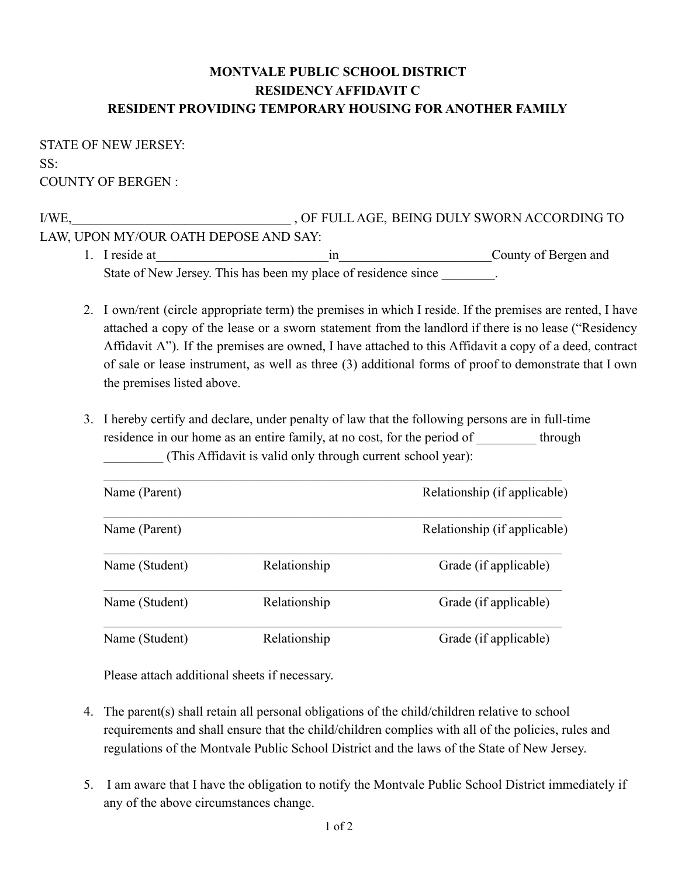## **MONTVALE PUBLIC SCHOOL DISTRICT RESIDENCY AFFIDAVIT C RESIDENT PROVIDING TEMPORARY HOUSING FOR ANOTHER FAMILY**

STATE OF NEW JERSEY: SS: COUNTY OF BERGEN :

I/WE,\_\_\_\_\_\_\_\_\_\_\_\_\_\_\_\_\_\_\_\_\_\_\_\_\_\_\_\_\_\_\_\_\_ , OF FULL AGE, BEING DULY SWORN ACCORDING TO LAW, UPON MY/OUR OATH DEPOSE AND SAY: 1. I reside at\_\_\_\_\_\_\_\_\_\_\_\_\_\_\_\_\_\_\_\_\_\_\_\_\_\_in\_\_\_\_\_\_\_\_\_\_\_\_\_\_\_\_\_\_\_\_\_\_\_County of Bergen and

- State of New Jersey. This has been my place of residence since \_\_\_\_\_\_\_\_.
- 2. I own/rent (circle appropriate term) the premises in which I reside. If the premises are rented, I have attached a copy of the lease or a sworn statement from the landlord if there is no lease ("Residency Affidavit A"). If the premises are owned, I have attached to this Affidavit a copy of a deed, contract of sale or lease instrument, as well as three (3) additional forms of proof to demonstrate that I own the premises listed above.
- 3. I hereby certify and declare, under penalty of law that the following persons are in full-time residence in our home as an entire family, at no cost, for the period of \_\_\_\_\_\_\_\_\_ through \_\_\_\_\_\_\_\_\_ (This Affidavit is valid only through current school year):

| Name (Parent)  |              | Relationship (if applicable) |
|----------------|--------------|------------------------------|
| Name (Parent)  |              | Relationship (if applicable) |
| Name (Student) | Relationship | Grade (if applicable)        |
| Name (Student) | Relationship | Grade (if applicable)        |
| Name (Student) | Relationship | Grade (if applicable)        |

Please attach additional sheets if necessary.

- 4. The parent(s) shall retain all personal obligations of the child/children relative to school requirements and shall ensure that the child/children complies with all of the policies, rules and regulations of the Montvale Public School District and the laws of the State of New Jersey.
- 5. I am aware that I have the obligation to notify the Montvale Public School District immediately if any of the above circumstances change.